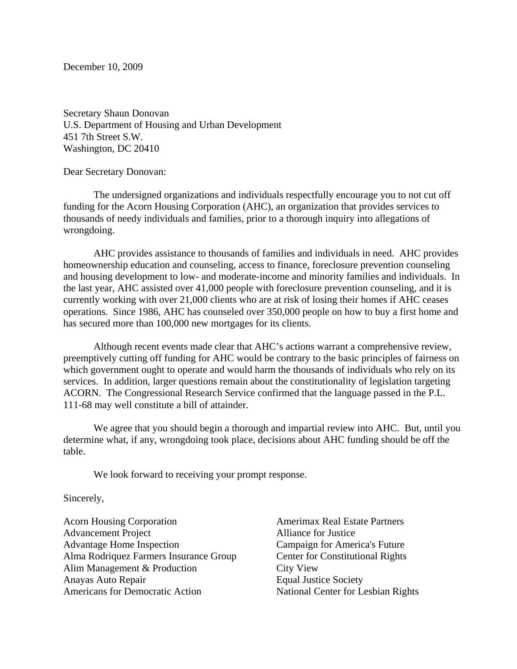December 10, 2009

Secretary Shaun Donovan U.S. Department of Housing and Urban Development 451 7th Street S.W. Washington, DC 20410

Dear Secretary Donovan:

The undersigned organizations and individuals respectfully encourage you to not cut off funding for the Acorn Housing Corporation (AHC), an organization that provides services to thousands of needy individuals and families, prior to a thorough inquiry into allegations of wrongdoing.

AHC provides assistance to thousands of families and individuals in need. AHC provides homeownership education and counseling, access to finance, foreclosure prevention counseling and housing development to low- and moderate-income and minority families and individuals. In the last year, AHC assisted over 41,000 people with foreclosure prevention counseling, and it is currently working with over 21,000 clients who are at risk of losing their homes if AHC ceases operations. Since 1986, AHC has counseled over 350,000 people on how to buy a first home and has secured more than 100,000 new mortgages for its clients.

Although recent events made clear that AHC's actions warrant a comprehensive review, preemptively cutting off funding for AHC would be contrary to the basic principles of fairness on which government ought to operate and would harm the thousands of individuals who rely on its services. In addition, larger questions remain about the constitutionality of legislation targeting ACORN. The Congressional Research Service confirmed that the language passed in the P.L. 111-68 may well constitute a bill of attainder.

We agree that you should begin a thorough and impartial review into AHC. But, until you determine what, if any, wrongdoing took place, decisions about AHC funding should be off the table.

We look forward to receiving your prompt response.

Sincerely,

Acorn Housing Corporation Advancement Project Advantage Home Inspection Alma Rodriquez Farmers Insurance Group Alim Management & Production Anayas Auto Repair Americans for Democratic Action

Amerimax Real Estate Partners Alliance for Justice Campaign for America's Future Center for Constitutional Rights City View Equal Justice Society National Center for Lesbian Rights